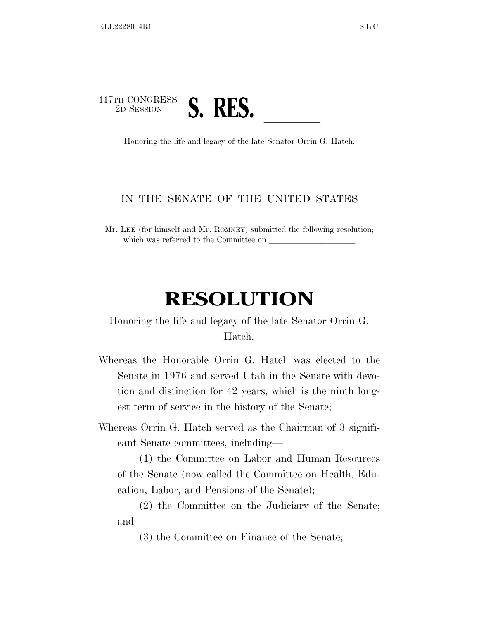## 117TH CONGRESS PH CONGRESS **S. RES.**<br>
Honoring the life and legacy of the late Senator Orrin G. Hatch.

## IN THE SENATE OF THE UNITED STATES

Mr. LEE (for himself and Mr. ROMNEY) submitted the following resolution; which was referred to the Committee on

## **RESOLUTION**

## Honoring the life and legacy of the late Senator Orrin G. Hatch.

- Whereas the Honorable Orrin G. Hatch was elected to the Senate in 1976 and served Utah in the Senate with devotion and distinction for 42 years, which is the ninth longest term of service in the history of the Senate;
- Whereas Orrin G. Hatch served as the Chairman of 3 significant Senate committees, including—

(1) the Committee on Labor and Human Resources of the Senate (now called the Committee on Health, Education, Labor, and Pensions of the Senate);

(2) the Committee on the Judiciary of the Senate; and

(3) the Committee on Finance of the Senate;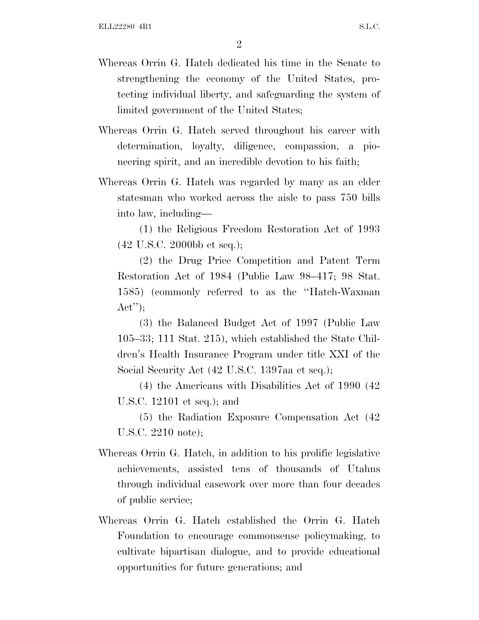- Whereas Orrin G. Hatch dedicated his time in the Senate to strengthening the economy of the United States, protecting individual liberty, and safeguarding the system of limited government of the United States;
- Whereas Orrin G. Hatch served throughout his career with determination, loyalty, diligence, compassion, a pioneering spirit, and an incredible devotion to his faith;
- Whereas Orrin G. Hatch was regarded by many as an elder statesman who worked across the aisle to pass 750 bills into law, including—

(1) the Religious Freedom Restoration Act of 1993 (42 U.S.C. 2000bb et seq.);

(2) the Drug Price Competition and Patent Term Restoration Act of 1984 (Public Law 98–417; 98 Stat. 1585) (commonly referred to as the ''Hatch-Waxman  $\text{Act}^{\prime\prime}$ :

(3) the Balanced Budget Act of 1997 (Public Law 105–33; 111 Stat. 215), which established the State Children's Health Insurance Program under title XXI of the Social Security Act (42 U.S.C. 1397aa et seq.);

(4) the Americans with Disabilities Act of 1990 (42 U.S.C. 12101 et seq.); and

(5) the Radiation Exposure Compensation Act (42 U.S.C. 2210 note);

- Whereas Orrin G. Hatch, in addition to his prolific legislative achievements, assisted tens of thousands of Utahns through individual casework over more than four decades of public service;
- Whereas Orrin G. Hatch established the Orrin G. Hatch Foundation to encourage commonsense policymaking, to cultivate bipartisan dialogue, and to provide educational opportunities for future generations; and